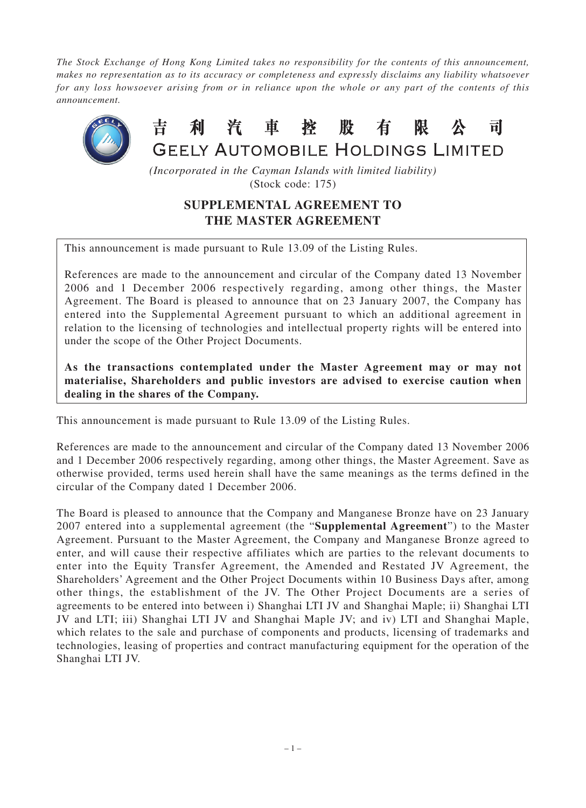*The Stock Exchange of Hong Kong Limited takes no responsibility for the contents of this announcement, makes no representation as to its accuracy or completeness and expressly disclaims any liability whatsoever for any loss howsoever arising from or in reliance upon the whole or any part of the contents of this announcement.*



*(Incorporated in the Cayman Islands with limited liability)* (Stock code: 175)

## **SUPPLEMENTAL AGREEMENT TO THE MASTER AGREEMENT**

This announcement is made pursuant to Rule 13.09 of the Listing Rules.

References are made to the announcement and circular of the Company dated 13 November 2006 and 1 December 2006 respectively regarding, among other things, the Master Agreement. The Board is pleased to announce that on 23 January 2007, the Company has entered into the Supplemental Agreement pursuant to which an additional agreement in relation to the licensing of technologies and intellectual property rights will be entered into under the scope of the Other Project Documents.

**As the transactions contemplated under the Master Agreement may or may not materialise, Shareholders and public investors are advised to exercise caution when dealing in the shares of the Company.**

This announcement is made pursuant to Rule 13.09 of the Listing Rules.

References are made to the announcement and circular of the Company dated 13 November 2006 and 1 December 2006 respectively regarding, among other things, the Master Agreement. Save as otherwise provided, terms used herein shall have the same meanings as the terms defined in the circular of the Company dated 1 December 2006.

The Board is pleased to announce that the Company and Manganese Bronze have on 23 January 2007 entered into a supplemental agreement (the "**Supplemental Agreement**") to the Master Agreement. Pursuant to the Master Agreement, the Company and Manganese Bronze agreed to enter, and will cause their respective affiliates which are parties to the relevant documents to enter into the Equity Transfer Agreement, the Amended and Restated JV Agreement, the Shareholders' Agreement and the Other Project Documents within 10 Business Days after, among other things, the establishment of the JV. The Other Project Documents are a series of agreements to be entered into between i) Shanghai LTI JV and Shanghai Maple; ii) Shanghai LTI JV and LTI; iii) Shanghai LTI JV and Shanghai Maple JV; and iv) LTI and Shanghai Maple, which relates to the sale and purchase of components and products, licensing of trademarks and technologies, leasing of properties and contract manufacturing equipment for the operation of the Shanghai LTI JV.